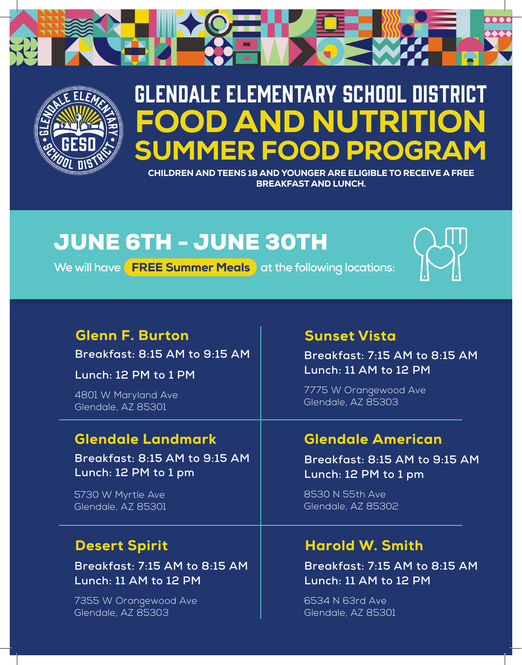



# GLENDALE ELEMENTARY SCHOOL DISTRICT D AND NUTRITIO MER FOOD PROGR

CHILDREN AND TEENS 18 AND YOUNGER ARE ELIGIBLE TO RECEIVE A FREE BREAKFAST AND LUNCH.

# JUNE 6TH - JUNE 30TH

**We will have FREE Summer Meals** at the following locations:



### Glenn F. Burton

**Breakfast: 8:15 AM to 9:15 AM** 

**Lunch: 12 PM to 1 PM**

4801 W Maryland Ave Glendale, AZ 85301

### Glendale Landmark

**Breakfast: 8:15 AM to 9:15 AM Lunch: 12 PM to 1 pm**

5730 W Myrtle Ave Glendale, AZ 85301

### Desert Spirit

**Breakfast: 7:15 AM to 8:15 AM Lunch: 11 AM to 12 PM** 

7355 W Orangewood Ave Glendale, AZ 85303

#### Sunset Vista

**Breakfast: 7:15 AM to 8:15 AM Lunch: 11 AM to 12 PM** 

7775 W Orangewood Ave Glendale, AZ 85303

# Glendale American

**Breakfast: 8:15 AM to 9:15 AM Lunch: 12 PM to 1 pm**

8530 N 55th Ave Glendale, AZ 85302

## Harold W. Smith

**Breakfast: 7:15 AM to 8:15 AM Lunch: 11 AM to 12 PM** 

6534 N 63rd Ave Glendale, AZ 85301